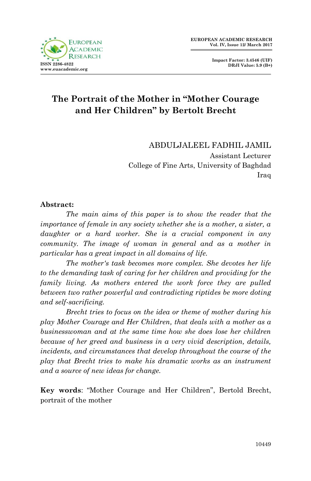

**Impact Factor: 3.4546 (UIF) DRJI Value: 5.9 (B+)**

# **The Portrait of the Mother in "Mother Courage and Her Children" by Bertolt Brecht**

ABDULJALEEL FADHIL JAMIL Assistant Lecturer College of Fine Arts, University of Baghdad Iraq

#### **Abstract:**

*The main aims of this paper is to show the reader that the importance of female in any society whether she is a mother, a sister, a daughter or a hard worker. She is a crucial component in any community. The image of woman in general and as a mother in particular has a great impact in all domains of life.* 

*The mother's task becomes more complex. She devotes her life to the demanding task of caring for her children and providing for the family living. As mothers entered the work force they are pulled between two rather powerful and contradicting riptides be more doting and self-sacrificing.* 

*Brecht tries to focus on the idea or theme of mother during his play Mother Courage and Her Children, that deals with a mother as a businesswoman and at the same time how she does lose her children because of her greed and business in a very vivid description, details, incidents, and circumstances that develop throughout the course of the play that Brecht tries to make his dramatic works as an instrument and a source of new ideas for change.*

**Key words**: "Mother Courage and Her Children", Bertold Brecht, portrait of the mother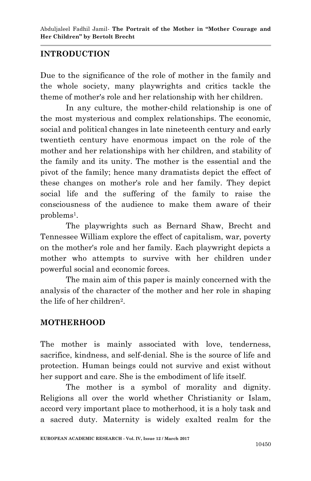### **INTRODUCTION**

Due to the significance of the role of mother in the family and the whole society, many playwrights and critics tackle the theme of mother's role and her relationship with her children.

In any culture, the mother-child relationship is one of the most mysterious and complex relationships. The economic, social and political changes in late nineteenth century and early twentieth century have enormous impact on the role of the mother and her relationships with her children, and stability of the family and its unity. The mother is the essential and the pivot of the family; hence many dramatists depict the effect of these changes on mother's role and her family. They depict social life and the suffering of the family to raise the consciousness of the audience to make them aware of their problems<sup>1</sup> .

The playwrights such as Bernard Shaw, Brecht and Tennessee William explore the effect of capitalism, war, poverty on the mother's role and her family. Each playwright depicts a mother who attempts to survive with her children under powerful social and economic forces.

The main aim of this paper is mainly concerned with the analysis of the character of the mother and her role in shaping the life of her children<sup>2</sup>.

#### **MOTHERHOOD**

The mother is mainly associated with love, tenderness, sacrifice, kindness, and self-denial. She is the source of life and protection. Human beings could not survive and exist without her support and care. She is the embodiment of life itself.

The mother is a symbol of morality and dignity. Religions all over the world whether Christianity or Islam, accord very important place to motherhood, it is a holy task and a sacred duty. Maternity is widely exalted realm for the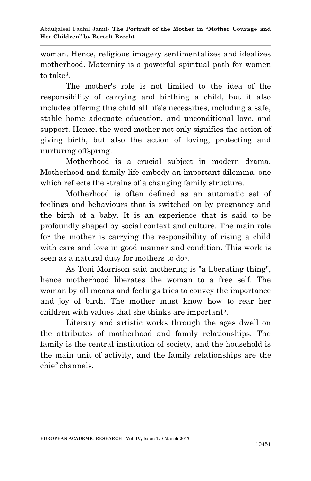woman. Hence, religious imagery sentimentalizes and idealizes motherhood. Maternity is a powerful spiritual path for women to take<sup>3</sup>.

The mother's role is not limited to the idea of the responsibility of carrying and birthing a child, but it also includes offering this child all life's necessities, including a safe, stable home adequate education, and unconditional love, and support. Hence, the word mother not only signifies the action of giving birth, but also the action of loving, protecting and nurturing offspring.

Motherhood is a crucial subject in modern drama. Motherhood and family life embody an important dilemma, one which reflects the strains of a changing family structure.

Motherhood is often defined as an automatic set of feelings and behaviours that is switched on by pregnancy and the birth of a baby. It is an experience that is said to be profoundly shaped by social context and culture. The main role for the mother is carrying the responsibility of rising a child with care and love in good manner and condition. This work is seen as a natural duty for mothers to do<sup>4</sup>.

As Toni Morrison said mothering is "a liberating thing", hence motherhood liberates the woman to a free self. The woman by all means and feelings tries to convey the importance and joy of birth. The mother must know how to rear her children with values that she thinks are important<sup>5</sup>.

Literary and artistic works through the ages dwell on the attributes of motherhood and family relationships. The family is the central institution of society, and the household is the main unit of activity, and the family relationships are the chief channels.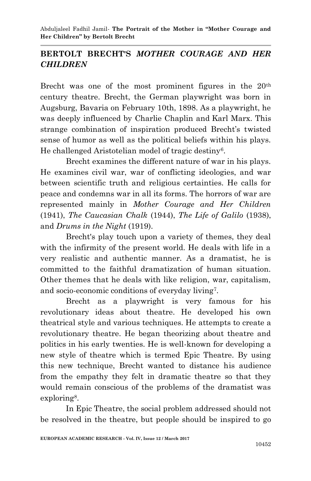Abduljaleel Fadhil Jamil*-* **The Portrait of the Mother in "Mother Courage and Her Children" by Bertolt Brecht**

### **BERTOLT BRECHT'S** *MOTHER COURAGE AND HER CHILDREN*

Brecht was one of the most prominent figures in the 20<sup>th</sup> century theatre. Brecht, the German playwright was born in Augsburg, Bavaria on February 10th, 1898. As a playwright, he was deeply influenced by Charlie Chaplin and Karl Marx. This strange combination of inspiration produced Brecht's twisted sense of humor as well as the political beliefs within his plays. He challenged Aristotelian model of tragic destiny<sup>6</sup>.

Brecht examines the different nature of war in his plays. He examines civil war, war of conflicting ideologies, and war between scientific truth and religious certainties. He calls for peace and condemns war in all its forms. The horrors of war are represented mainly in *Mother Courage and Her Children* (1941), *The Caucasian Chalk* (1944), *The Life of Galilo* (1938), and *Drums in the Night* (1919).

Brecht's play touch upon a variety of themes, they deal with the infirmity of the present world. He deals with life in a very realistic and authentic manner. As a dramatist, he is committed to the faithful dramatization of human situation. Other themes that he deals with like religion, war, capitalism, and socio-economic conditions of everyday living<sup>7</sup> .

Brecht as a playwright is very famous for his revolutionary ideas about theatre. He developed his own theatrical style and various techniques. He attempts to create a revolutionary theatre. He began theorizing about theatre and politics in his early twenties. He is well-known for developing a new style of theatre which is termed Epic Theatre. By using this new technique, Brecht wanted to distance his audience from the empathy they felt in dramatic theatre so that they would remain conscious of the problems of the dramatist was exploring<sup>8</sup>.

In Epic Theatre, the social problem addressed should not be resolved in the theatre, but people should be inspired to go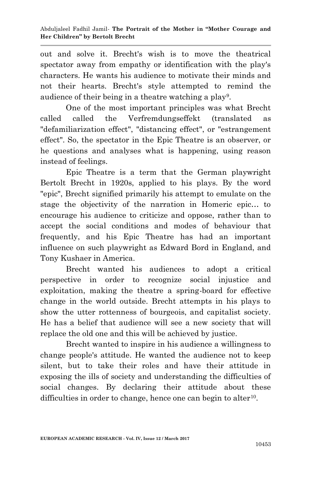out and solve it. Brecht's wish is to move the theatrical spectator away from empathy or identification with the play's characters. He wants his audience to motivate their minds and not their hearts. Brecht's style attempted to remind the audience of their being in a theatre watching a play<sup>9</sup>.

One of the most important principles was what Brecht called called the Verfremdungseffekt (translated as "defamiliarization effect", "distancing effect", or "estrangement effect". So, the spectator in the Epic Theatre is an observer, or he questions and analyses what is happening, using reason instead of feelings.

Epic Theatre is a term that the German playwright Bertolt Brecht in 1920s, applied to his plays. By the word "epic", Brecht signified primarily his attempt to emulate on the stage the objectivity of the narration in Homeric epic… to encourage his audience to criticize and oppose, rather than to accept the social conditions and modes of behaviour that frequently, and his Epic Theatre has had an important influence on such playwright as Edward Bord in England, and Tony Kushaer in America.

Brecht wanted his audiences to adopt a critical perspective in order to recognize social injustice and exploitation, making the theatre a spring-board for effective change in the world outside. Brecht attempts in his plays to show the utter rottenness of bourgeois, and capitalist society. He has a belief that audience will see a new society that will replace the old one and this will be achieved by justice.

Brecht wanted to inspire in his audience a willingness to change people's attitude. He wanted the audience not to keep silent, but to take their roles and have their attitude in exposing the ills of society and understanding the difficulties of social changes. By declaring their attitude about these difficulties in order to change, hence one can begin to alter<sup>10</sup>.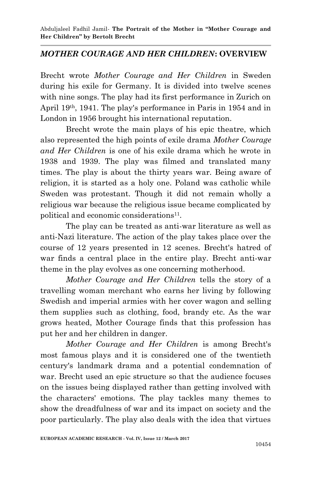### *MOTHER COURAGE AND HER CHILDREN***: OVERVIEW**

Brecht wrote *Mother Courage and Her Children* in Sweden during his exile for Germany. It is divided into twelve scenes with nine songs. The play had its first performance in Zurich on April 19th, 1941. The play's performance in Paris in 1954 and in London in 1956 brought his international reputation.

Brecht wrote the main plays of his epic theatre, which also represented the high points of exile drama *Mother Courage and Her Children* is one of his exile drama which he wrote in 1938 and 1939. The play was filmed and translated many times. The play is about the thirty years war. Being aware of religion, it is started as a holy one. Poland was catholic while Sweden was protestant. Though it did not remain wholly a religious war because the religious issue became complicated by political and economic considerations<sup>11</sup>.

The play can be treated as anti-war literature as well as anti-Nazi literature. The action of the play takes place over the course of 12 years presented in 12 scenes. Brecht's hatred of war finds a central place in the entire play. Brecht anti-war theme in the play evolves as one concerning motherhood.

*Mother Courage and Her Children* tells the story of a travelling woman merchant who earns her living by following Swedish and imperial armies with her cover wagon and selling them supplies such as clothing, food, brandy etc. As the war grows heated, Mother Courage finds that this profession has put her and her children in danger.

*Mother Courage and Her Children* is among Brecht's most famous plays and it is considered one of the twentieth century's landmark drama and a potential condemnation of war. Brecht used an epic structure so that the audience focuses on the issues being displayed rather than getting involved with the characters' emotions. The play tackles many themes to show the dreadfulness of war and its impact on society and the poor particularly. The play also deals with the idea that virtues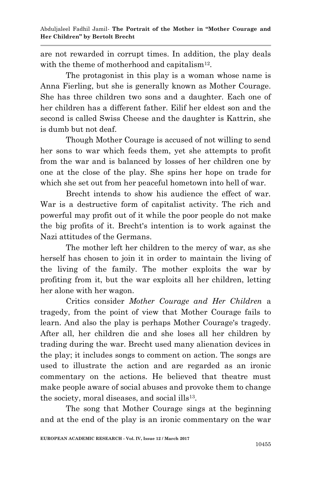are not rewarded in corrupt times. In addition, the play deals with the theme of motherhood and capitalism<sup>12</sup>.

The protagonist in this play is a woman whose name is Anna Fierling, but she is generally known as Mother Courage. She has three children two sons and a daughter. Each one of her children has a different father. Eilif her eldest son and the second is called Swiss Cheese and the daughter is Kattrin, she is dumb but not deaf.

Though Mother Courage is accused of not willing to send her sons to war which feeds them, yet she attempts to profit from the war and is balanced by losses of her children one by one at the close of the play. She spins her hope on trade for which she set out from her peaceful hometown into hell of war.

Brecht intends to show his audience the effect of war. War is a destructive form of capitalist activity. The rich and powerful may profit out of it while the poor people do not make the big profits of it. Brecht's intention is to work against the Nazi attitudes of the Germans.

The mother left her children to the mercy of war, as she herself has chosen to join it in order to maintain the living of the living of the family. The mother exploits the war by profiting from it, but the war exploits all her children, letting her alone with her wagon.

Critics consider *Mother Courage and Her Children* a tragedy, from the point of view that Mother Courage fails to learn. And also the play is perhaps Mother Courage's tragedy. After all, her children die and she loses all her children by trading during the war. Brecht used many alienation devices in the play; it includes songs to comment on action. The songs are used to illustrate the action and are regarded as an ironic commentary on the actions. He believed that theatre must make people aware of social abuses and provoke them to change the society, moral diseases, and social ills<sup>13</sup>.

The song that Mother Courage sings at the beginning and at the end of the play is an ironic commentary on the war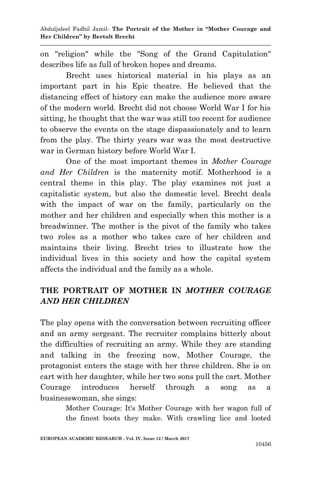on "religion" while the "Song of the Grand Capitulation" describes life as full of broken hopes and dreams.

Brecht uses historical material in his plays as an important part in his Epic theatre. He believed that the distancing effect of history can make the audience more aware of the modern world. Brecht did not choose World War I for his sitting, he thought that the war was still too recent for audience to observe the events on the stage dispassionately and to learn from the play. The thirty years war was the most destructive war in German history before World War I.

One of the most important themes in *Mother Courage and Her Children* is the maternity motif. Motherhood is a central theme in this play. The play examines not just a capitalistic system, but also the domestic level. Brecht deals with the impact of war on the family, particularly on the mother and her children and especially when this mother is a breadwinner. The mother is the pivot of the family who takes two roles as a mother who takes care of her children and maintains their living. Brecht tries to illustrate how the individual lives in this society and how the capital system affects the individual and the family as a whole.

# **THE PORTRAIT OF MOTHER IN** *MOTHER COURAGE AND HER CHILDREN*

The play opens with the conversation between recruiting officer and an army sergeant. The recruiter complains bitterly about the difficulties of recruiting an army. While they are standing and talking in the freezing now, Mother Courage, the protagonist enters the stage with her three children. She is on cart with her daughter, while her two sons pull the cart. Mother Courage introduces herself through a song as a businesswoman, she sings:

> Mother Courage: It's Mother Courage with her wagon full of the finest boots they make. With crawling lice and looted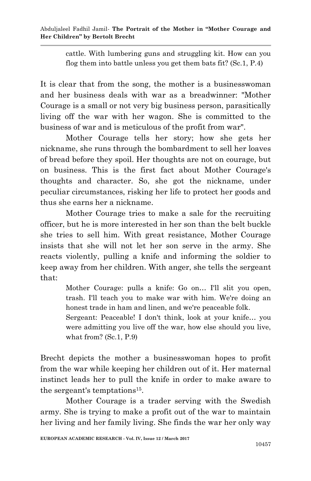cattle. With lumbering guns and struggling kit. How can you flog them into battle unless you get them bats fit? (Sc.1, P.4)

It is clear that from the song, the mother is a businesswoman and her business deals with war as a breadwinner: "Mother Courage is a small or not very big business person, parasitically living off the war with her wagon. She is committed to the business of war and is meticulous of the profit from war".

Mother Courage tells her story; how she gets her nickname, she runs through the bombardment to sell her loaves of bread before they spoil. Her thoughts are not on courage, but on business. This is the first fact about Mother Courage's thoughts and character. So, she got the nickname, under peculiar circumstances, risking her life to protect her goods and thus she earns her a nickname.

Mother Courage tries to make a sale for the recruiting officer, but he is more interested in her son than the belt buckle she tries to sell him. With great resistance, Mother Courage insists that she will not let her son serve in the army. She reacts violently, pulling a knife and informing the soldier to keep away from her children. With anger, she tells the sergeant that:

> Mother Courage: pulls a knife: Go on… I'll slit you open, trash. I'll teach you to make war with him. We're doing an honest trade in ham and linen, and we're peaceable folk.

> Sergeant: Peaceable! I don't think, look at your knife… you were admitting you live off the war, how else should you live, what from? (Sc.1, P.9)

Brecht depicts the mother a businesswoman hopes to profit from the war while keeping her children out of it. Her maternal instinct leads her to pull the knife in order to make aware to the sergeant's temptations<sup>15</sup>.

Mother Courage is a trader serving with the Swedish army. She is trying to make a profit out of the war to maintain her living and her family living. She finds the war her only way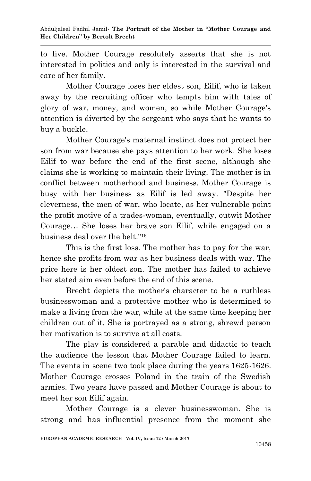to live. Mother Courage resolutely asserts that she is not interested in politics and only is interested in the survival and care of her family.

Mother Courage loses her eldest son, Eilif, who is taken away by the recruiting officer who tempts him with tales of glory of war, money, and women, so while Mother Courage's attention is diverted by the sergeant who says that he wants to buy a buckle.

Mother Courage's maternal instinct does not protect her son from war because she pays attention to her work. She loses Eilif to war before the end of the first scene, although she claims she is working to maintain their living. The mother is in conflict between motherhood and business. Mother Courage is busy with her business as Eilif is led away. "Despite her cleverness, the men of war, who locate, as her vulnerable point the profit motive of a trades-woman, eventually, outwit Mother Courage… She loses her brave son Eilif, while engaged on a business deal over the belt."<sup>16</sup>

This is the first loss. The mother has to pay for the war, hence she profits from war as her business deals with war. The price here is her oldest son. The mother has failed to achieve her stated aim even before the end of this scene.

Brecht depicts the mother's character to be a ruthless businesswoman and a protective mother who is determined to make a living from the war, while at the same time keeping her children out of it. She is portrayed as a strong, shrewd person her motivation is to survive at all costs.

The play is considered a parable and didactic to teach the audience the lesson that Mother Courage failed to learn. The events in scene two took place during the years 1625-1626. Mother Courage crosses Poland in the train of the Swedish armies. Two years have passed and Mother Courage is about to meet her son Eilif again.

Mother Courage is a clever businesswoman. She is strong and has influential presence from the moment she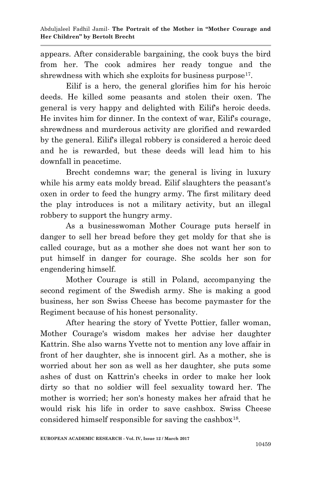appears. After considerable bargaining, the cook buys the bird from her. The cook admires her ready tongue and the shrewdness with which she exploits for business purpose<sup>17</sup>.

Eilif is a hero, the general glorifies him for his heroic deeds. He killed some peasants and stolen their oxen. The general is very happy and delighted with Eilif's heroic deeds. He invites him for dinner. In the context of war, Eilif's courage, shrewdness and murderous activity are glorified and rewarded by the general. Eilif's illegal robbery is considered a heroic deed and he is rewarded, but these deeds will lead him to his downfall in peacetime.

Brecht condemns war; the general is living in luxury while his army eats moldy bread. Eilif slaughters the peasant's oxen in order to feed the hungry army. The first military deed the play introduces is not a military activity, but an illegal robbery to support the hungry army.

As a businesswoman Mother Courage puts herself in danger to sell her bread before they get moldy for that she is called courage, but as a mother she does not want her son to put himself in danger for courage. She scolds her son for engendering himself.

Mother Courage is still in Poland, accompanying the second regiment of the Swedish army. She is making a good business, her son Swiss Cheese has become paymaster for the Regiment because of his honest personality.

After hearing the story of Yvette Pottier, faller woman, Mother Courage's wisdom makes her advise her daughter Kattrin. She also warns Yvette not to mention any love affair in front of her daughter, she is innocent girl. As a mother, she is worried about her son as well as her daughter, she puts some ashes of dust on Kattrin's cheeks in order to make her look dirty so that no soldier will feel sexuality toward her. The mother is worried; her son's honesty makes her afraid that he would risk his life in order to save cashbox. Swiss Cheese considered himself responsible for saving the cashbox<sup>18</sup>.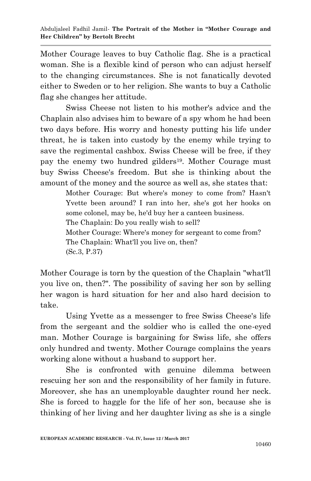Mother Courage leaves to buy Catholic flag. She is a practical woman. She is a flexible kind of person who can adjust herself to the changing circumstances. She is not fanatically devoted either to Sweden or to her religion. She wants to buy a Catholic flag she changes her attitude.

Swiss Cheese not listen to his mother's advice and the Chaplain also advises him to beware of a spy whom he had been two days before. His worry and honesty putting his life under threat, he is taken into custody by the enemy while trying to save the regimental cashbox. Swiss Cheese will be free, if they pay the enemy two hundred gilders<sup>19</sup>. Mother Courage must buy Swiss Cheese's freedom. But she is thinking about the amount of the money and the source as well as, she states that:

> Mother Courage: But where's money to come from? Hasn't Yvette been around? I ran into her, she's got her hooks on some colonel, may be, he'd buy her a canteen business. The Chaplain: Do you really wish to sell? Mother Courage: Where's money for sergeant to come from? The Chaplain: What'll you live on, then? (Sc.3, P.37)

Mother Courage is torn by the question of the Chaplain "what'll you live on, then?". The possibility of saving her son by selling her wagon is hard situation for her and also hard decision to take.

Using Yvette as a messenger to free Swiss Cheese's life from the sergeant and the soldier who is called the one-eyed man. Mother Courage is bargaining for Swiss life, she offers only hundred and twenty. Mother Courage complains the years working alone without a husband to support her.

She is confronted with genuine dilemma between rescuing her son and the responsibility of her family in future. Moreover, she has an unemployable daughter round her neck. She is forced to haggle for the life of her son, because she is thinking of her living and her daughter living as she is a single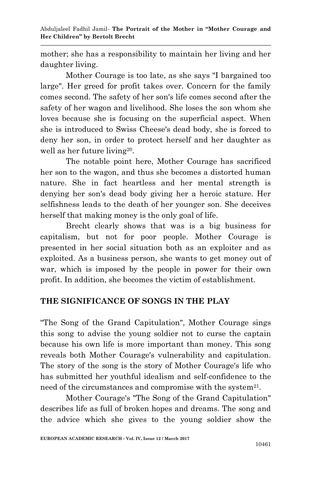mother; she has a responsibility to maintain her living and her daughter living.

Mother Courage is too late, as she says "I bargained too large". Her greed for profit takes over. Concern for the family comes second. The safety of her son's life comes second after the safety of her wagon and livelihood. She loses the son whom she loves because she is focusing on the superficial aspect. When she is introduced to Swiss Cheese's dead body, she is forced to deny her son, in order to protect herself and her daughter as well as her future living<sup>20</sup>.

The notable point here, Mother Courage has sacrificed her son to the wagon, and thus she becomes a distorted human nature. She in fact heartless and her mental strength is denying her son's dead body giving her a heroic stature. Her selfishness leads to the death of her younger son. She deceives herself that making money is the only goal of life.

Brecht clearly shows that was is a big business for capitalism, but not for poor people. Mother Courage is presented in her social situation both as an exploiter and as exploited. As a business person, she wants to get money out of war, which is imposed by the people in power for their own profit. In addition, she becomes the victim of establishment.

### **THE SIGNIFICANCE OF SONGS IN THE PLAY**

"The Song of the Grand Capitulation", Mother Courage sings this song to advise the young soldier not to curse the captain because his own life is more important than money. This song reveals both Mother Courage's vulnerability and capitulation. The story of the song is the story of Mother Courage's life who has submitted her youthful idealism and self-confidence to the need of the circumstances and compromise with the system<sup>21</sup>.

Mother Courage's "The Song of the Grand Capitulation" describes life as full of broken hopes and dreams. The song and the advice which she gives to the young soldier show the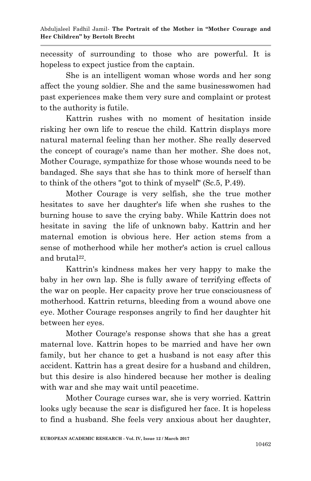necessity of surrounding to those who are powerful. It is hopeless to expect justice from the captain.

She is an intelligent woman whose words and her song affect the young soldier. She and the same businesswomen had past experiences make them very sure and complaint or protest to the authority is futile.

Kattrin rushes with no moment of hesitation inside risking her own life to rescue the child. Kattrin displays more natural maternal feeling than her mother. She really deserved the concept of courage's name than her mother. She does not, Mother Courage, sympathize for those whose wounds need to be bandaged. She says that she has to think more of herself than to think of the others "got to think of myself" (Sc.5, P.49).

Mother Courage is very selfish, she the true mother hesitates to save her daughter's life when she rushes to the burning house to save the crying baby. While Kattrin does not hesitate in saving the life of unknown baby. Kattrin and her maternal emotion is obvious here. Her action stems from a sense of motherhood while her mother's action is cruel callous and brutal<sup>22</sup>.

Kattrin's kindness makes her very happy to make the baby in her own lap. She is fully aware of terrifying effects of the war on people. Her capacity prove her true consciousness of motherhood. Kattrin returns, bleeding from a wound above one eye. Mother Courage responses angrily to find her daughter hit between her eyes.

Mother Courage's response shows that she has a great maternal love. Kattrin hopes to be married and have her own family, but her chance to get a husband is not easy after this accident. Kattrin has a great desire for a husband and children, but this desire is also hindered because her mother is dealing with war and she may wait until peacetime.

Mother Courage curses war, she is very worried. Kattrin looks ugly because the scar is disfigured her face. It is hopeless to find a husband. She feels very anxious about her daughter,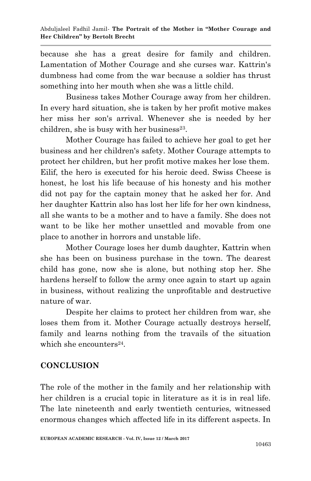because she has a great desire for family and children. Lamentation of Mother Courage and she curses war. Kattrin's dumbness had come from the war because a soldier has thrust something into her mouth when she was a little child.

Business takes Mother Courage away from her children. In every hard situation, she is taken by her profit motive makes her miss her son's arrival. Whenever she is needed by her children, she is busy with her business $^{23}$ .

Mother Courage has failed to achieve her goal to get her business and her children's safety. Mother Courage attempts to protect her children, but her profit motive makes her lose them. Eilif, the hero is executed for his heroic deed. Swiss Cheese is honest, he lost his life because of his honesty and his mother did not pay for the captain money that he asked her for. And her daughter Kattrin also has lost her life for her own kindness, all she wants to be a mother and to have a family. She does not want to be like her mother unsettled and movable from one place to another in horrors and unstable life.

Mother Courage loses her dumb daughter, Kattrin when she has been on business purchase in the town. The dearest child has gone, now she is alone, but nothing stop her. She hardens herself to follow the army once again to start up again in business, without realizing the unprofitable and destructive nature of war.

Despite her claims to protect her children from war, she loses them from it. Mother Courage actually destroys herself, family and learns nothing from the travails of the situation which she encounters<sup>24</sup>.

# **CONCLUSION**

The role of the mother in the family and her relationship with her children is a crucial topic in literature as it is in real life. The late nineteenth and early twentieth centuries, witnessed enormous changes which affected life in its different aspects. In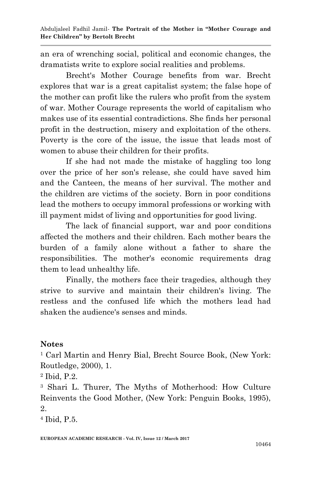an era of wrenching social, political and economic changes, the dramatists write to explore social realities and problems.

Brecht's Mother Courage benefits from war. Brecht explores that war is a great capitalist system; the false hope of the mother can profit like the rulers who profit from the system of war. Mother Courage represents the world of capitalism who makes use of its essential contradictions. She finds her personal profit in the destruction, misery and exploitation of the others. Poverty is the core of the issue, the issue that leads most of women to abuse their children for their profits.

If she had not made the mistake of haggling too long over the price of her son's release, she could have saved him and the Canteen, the means of her survival. The mother and the children are victims of the society. Born in poor conditions lead the mothers to occupy immoral professions or working with ill payment midst of living and opportunities for good living.

The lack of financial support, war and poor conditions affected the mothers and their children. Each mother bears the burden of a family alone without a father to share the responsibilities. The mother's economic requirements drag them to lead unhealthy life.

Finally, the mothers face their tragedies, although they strive to survive and maintain their children's living. The restless and the confused life which the mothers lead had shaken the audience's senses and minds.

#### **Notes**

<sup>1</sup> Carl Martin and Henry Bial, Brecht Source Book, (New York: Routledge, 2000), 1.

<sup>2</sup> Ibid, P.2.

<sup>3</sup> Shari L. Thurer, The Myths of Motherhood: How Culture Reinvents the Good Mother, (New York: Penguin Books, 1995), 2.

<sup>4</sup> Ibid, P.5.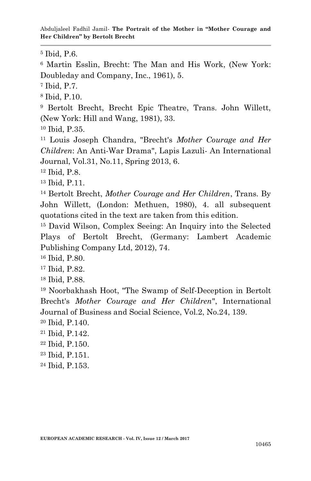Abduljaleel Fadhil Jamil*-* **The Portrait of the Mother in "Mother Courage and Her Children" by Bertolt Brecht**

Ibid, P.6.

 Martin Esslin, Brecht: The Man and His Work, (New York: Doubleday and Company, Inc., 1961), 5.

Ibid, P.7.

Ibid, P.10.

 Bertolt Brecht, Brecht Epic Theatre, Trans. John Willett, (New York: Hill and Wang, 1981), 33.

Ibid, P.35.

 Louis Joseph Chandra, "Brecht's *Mother Courage and Her Children*: An Anti-War Drama", Lapis Lazuli- An International Journal, Vol.31, No.11, Spring 2013, 6.

Ibid, P.8.

Ibid, P.11.

 Bertolt Brecht, *Mother Courage and Her Children*, Trans. By John Willett, (London: Methuen, 1980), 4. all subsequent quotations cited in the text are taken from this edition.

 David Wilson, Complex Seeing: An Inquiry into the Selected Plays of Bertolt Brecht, (Germany: Lambert Academic Publishing Company Ltd, 2012), 74.

Ibid, P.80.

Ibid, P.82.

Ibid, P.88.

 Noorbakhash Hoot, "The Swamp of Self-Deception in Bertolt Brecht's *Mother Courage and Her Children*", International Journal of Business and Social Science, Vol.2, No.24, 139.

Ibid, P.140.

- Ibid, P.142.
- Ibid, P.150.
- Ibid, P.151.
- Ibid, P.153.